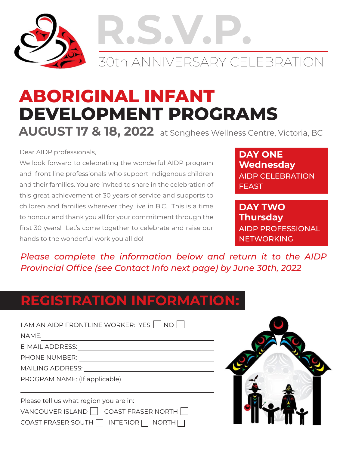

# **R.S.V.P.** 30th ANNIVERSARY CELEBRATION

## **ABORIGINAL INFANT DEVELOPMENT PROGRAMS AUGUST 17 & 18, 2022** at Songhees Wellness Centre, Victoria, BC

Dear AIDP professıonals,

We look forward to celebrating the wonderful AIDP program and front line professionals who support Indigenous children and their families. You are invited to share in the celebration of this great achievement of 30 years of service and supports to children and families wherever they live in B.C. This is a time to honour and thank you all for your commitment through the first 30 years! Let's come together to celebrate and raise our hands to the wonderful work you all do!

**DAY ONE Wednesday** AIDP CELEBRATION FEAST

**DAY TWO Thursday** AIDP PROFESSIONAL **NETWORKING** 

*Please complete the information below and return it to the AIDP Provincial Office (see Contact Info next page) by June 30th, 2022*

### **REGISTRATION INFORMATION:**

| I AM AN AIDP FRONTLINE WORKER: YES   NO              |
|------------------------------------------------------|
| NAMF:                                                |
| F-MAIL ADDRESS:                                      |
| <b>PHONE NUMBER:</b>                                 |
| <b>MAILING ADDRESS:</b>                              |
| PROGRAM NAME: (If applicable)                        |
|                                                      |
| Please tell us what region you are in:               |
| <b>COAST FRASER NORTH</b><br><b>VANCOUVER ISLAND</b> |

COAST FRASER SOUTH  $\Box$  INTERIOR  $\Box$  NORTH  $\Box$